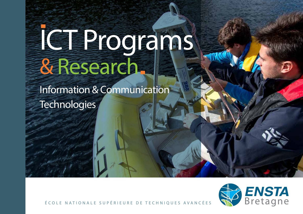# IC Programs & Research

Information & Communication **Technologies** 

école nationale supérieure de techniques avancées

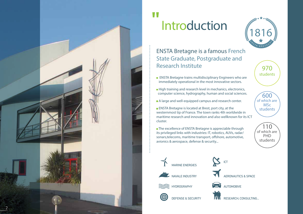

## **Introduction**



ENSTA Bretagne is a famous French State Graduate, Postgraduate and Research Institute

- **ENSTA Bretagne trains multidisciplinary Engineers who are** immediately operational in the most innovative sectors.
- High training and research level in mechanics, electronics, computer science, hydrography, human and social sciences.
- A large and well-equipped campus and research center.

**ENSTA Bretagne is located at Brest, port city, at the** westernmost tip of France. The town ranks 4th worldwide in maritime research and innovation and also wellknown for its ICTcluster.

The excellence of ENSTA Bretagne is appreciable through its privileged links with industries: IT, robotics, AUVs, radar/ sonars,telecoms, maritime transport, offshore, automotive, avionics & aerospace, defense & security...



MS c students

970





RESEARCH, CONSULTING...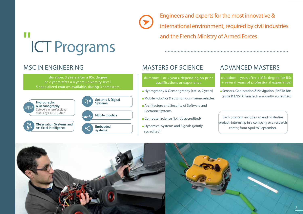

Engineers and experts for the most innovative & international environment, required by civil industries and the French Ministry of Armed Forces

# ICT Programs

#### MSc in Engineering

duration: 3 years after a BSc degree or 2 years after a 4 years university-level. 5 specialized courses available, during 3 semesters.



#### MASTERS of science

- duration: 1 or 2 years, depending on prior qualifications or experience
- Hydrography & Oceanography (cat. A, 2 years)
- **Mobile Robotics & autonomous marine vehicles**
- **Architecture and Security of Software and** Electronic Systems
- Computer Science (jointly accredited)
- Dynamical Systems and Signals (jointly accredited)

#### advanced MASTeRS

duration: 1 year, after a MSc degree (or BSc + several years of professional experience)

Sensors, Geolocation & Navigation (ENSTA Bretagne & ENSTA ParisTech are jointly accredited)

Each program includes an end of studies project: internship in a company or a research center, from April to September.

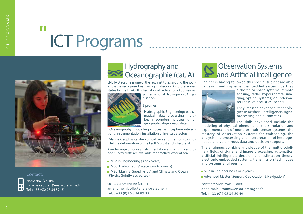# ICT Programs



#### Contact:



Nathacha Caourennatacha.caouren@ensta-bretagne.fr  $T_1$ él.  $+33$  (0) 298 34 89 15

#### Hydrography and Oceanographie (cat. A)

ENSTA Bretagne is one of the few institutes around the world that is recognised as having «Category A» professional status by the FIG/OHI (International Federation of Surveyors



& International Hydrographic Organisation).

3 profiles:

. Hydrographic Engineering: bathymatical data processing, multibeam sounders, processing of geographical/geomatic data.

. Oceanography: modelling of ocean-atmosphere interactions, instrumentation, installation of in-situ detectors.

. Marine Geophysics: rheological laws and methods to model the deformation of the Earth's crust and interpret it.

A wide range of survey instrumentation and a highly equipped survey craft, are available for practical work at sea.

- **MSc in Engineering (3 or 2 years)**
- **MSc "Hydrography" (category A, 2 years)**
- **MSc "Marine Geophysics" and Climate and Ocean** Physics (jointly accredited)

contact: Amandine Nicolle amandine.nicolle@ensta-bretagne.fr Tel. : +33 (0)2 98 34 89 33

#### Observation Systems and Artificial Intelligence

Engineers having followed this special subject are able to design and implement embedded systems be they



airborne or space systems (remote sensing, radar, hyperspectral imaging, optical systems) or underwater (passive acoustics, sonar).

They master advanced technologies in artificial intelligence, signal processing and automatics.

The skills developed include the

modeling of physical phenomena, the simulation and experimentation of mono or multi-sensor systems, the mastery of observation systems for embedding, the analysis, the processing and interpretation of heterogeneous and voluminous data and decision support.

The engineers combine knowledge of the multidisciplinary fields of signal and image processing, automatics, artificial intelligence, decision and estimation theory, electronic embedded systems, transmission techniques and systems engineering

**MSc in Engineering (3 or 2 years)** 

■ Advanced Master "Sensors, Geolocation & Navigation"

contact: Abdelmalek Toumi abdelmalek.toumi@ensta-bretagne.fr Tel. : +33 (0)2 98 34 89 49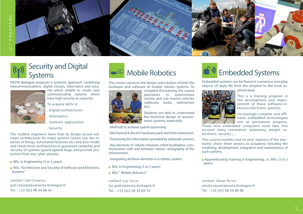

#### Security and Digital **Systems**

 ENSTA Bretagne proposes a systemic approach combining telecommunications, digital circuits, informatics and secu-



- rity which enable to create new communicating systems which have high security as a priority.
- To acquire skills in:
- . Digital architectures
- . Informatics
- . Systemic approaches
- . Security

The student engineers learn how to design secure software architectures for major systems (smart city, the Internet of things, automated factories etc) and also model and check these architectures to guarantee reliability and security of systems (guard against bugs, and provide protection from any cyber attacks).

- **MSc in Engineering (3 or 2 years)**
- **MSc** "Architecture and Security of Software and Electronic Systems"

contact: Joël Champeau joel.champeau@ensta-bretagne.fr Tel. : +33 (0)2 98 34 88 42



The course concerns the design and creation of both the hardware and software of mobile robotic systems. To



complete the training, the course specializes in autonomous marine and sub-marine vehicles (sailboats, boats, submarines etc).

Students are able to understand the technical design of autonomous systems, especially:

. Methods to achieve system autonomy,

. Mechanical & electric hardware parts and their interaction,

. Processing the information provided by adequate sensors,

. Key elements of robotic missions: robot localisation, communication with and between robots, cartography of the environment,

. Integrating all these elements in a robotic system.

- **MSc in Engineering (3 or 2 years)**
- **MSc** " Mobile Robotics"

contact: Luc Jaulin luc.jaulin@ensta-bretagne.fr Tel. : +33 (0)2 98 34 89 10



Embedded systems can be found in numerous everyday objects of dayly life from the simplest to the most so-



phisticated.

This is a training program in the development and improvement of these software-intensive electronic systems.

Increasingly complex and efficient, embedded technologies aim at permanent progress.

These mini embedded computers must take into account many constraints: autonomy, weight, robustness, security ,...

This course enables end-to-end mastery of the electronic chain (from sensors to actuators) including the modeling, development, integration and maintenance of such systems.

**Apprenticeship training in Engineering, i.e. MSc (3 or 2** years)

contact: Olivier Reynetolivier.reynet@ensta-bretagne.fr Tel. : +33 (0)2 98 34 88 86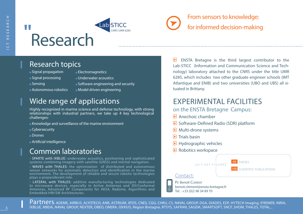## $\sim 10$ Research

#### From sensors to knowledge: for informed decision-making

#### Research topics

- Signal propagation
- Signal processing
- **Sensing**
- Autonomous robotics
- **Electromagnetics**
- Underwater acoustics
- Software engineering and security

CNRS UMR 6285

ab-STICC

Model driven engineering

#### Wide range of applications

Highly recognized in marine science and defense technology, with strong relationships with industrial partners, we take up 4 key technological challenges:

- Knowledge and surveillance of the marine environment
- **Cybersecurity**
- Drones
- **Artificial intelligence**

#### Common laboratories

- SPARTE with IXBLUE: underwater acoustics, positioning and sophisticated systems combining imagery with satellite (GNSS) and inertial navigation.

- WAVES with THALES: the optimization of distributed and autonomous sensor networks for automatic detection and identification in the marine environment. The development of reliable and secure robotic technologies plays a preponderant role.

- LATERAL with THALES: additive manufacturing technologies dedicated to microwave devices, especially in Active Antennas and 3D/Conformal Antennas, Advanced RF Components for AESA, Radome, Algorithms and Embedded HW/SW Architectures.

ENSTA Bretagne is the third largest contributor to the  $\boxed{\triangleright}$ Lab-STICC (Information and Communication Science and Technology) laboratory attached to the CNRS under the title UMR 6285, which includes two other graduate engineer schools (IMT Atlantique and ENIB) and two universities (UBO and UBS) all situated in Brittany.

#### Experimental facilities

#### on the ENSTA Bretagne Campus:

- Anechoic chamber
- Software-Defined Radio (SDR) platform
- Multi-drone systems
- $\triangleright$  Trials basin
- $\blacksquare$  Hydrographic vehicles
- $\blacksquare$  Robotics workspace



Partners: ADEME, AIRBUS, ALYOTECH, ANR, ASTRIUM, ATOS, CNES, CGG, CHRU, CS, NAVAL GROUP, DGA, DIADES, EDF, HYTECH Imaging, IFREMER, INRIA, IXBLUE, MBDA, NAVAL GROUP, NEXTER, OBEO, ONERA, OXXIUS, Région Bretagne, RTSYS, SAFRAN, SAGEM, SMARTSOFT, SNCF, SHOM, THALES, TOTAL...

匾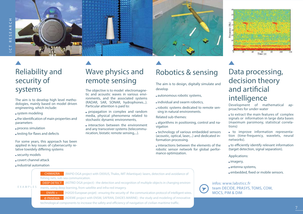

## ict research  $\alpha$  $\cup$

## Reliability and security of systems

The aim is to develop high level methodologies, mainly based on model driven engineering, which include:

- system modeling
- the identification of main properties and parameters
- **process simulation**
- testing for flaws and defects

For some years, this approach has been applied in key issues of cybersecurity relative towidely differing systems

- security models
- covert channel attack
- industrial automation

#### Wave physics and remote sensing

The objective is to model electromagnetic and acoustic waves in various environments, and the associated systems (RADAR, SAR, SONAR, hydrophones...). Particular attention is paid to:

- propagation in complex and random media, physical phenomena related to stochastic dynamic environments,
- interaction between the environment and any transceiver systems (telecommunication, bistatic remote sensing,...).

## Robotics & sensing

The aim is to design, digitally simulate and develop

- autonomous robotic systems,
- individual and swarm robotics,
- robotic systems dedicated to remote sensing in natural environments.

Related sub-themes:

 algorithms in positioning, control and navigation

- technology of various embedded sensors (acoustic, optical, laser,...) and dedicated information processing.
- interactions between the elements of the robotic sensor network for global performance optimization.



### Data processing, decision theory and artificial intelligence

Development of mathematical approaches for under-water

- to extract the main features of complex signals or information in large data bases (maximum parsimony, statistical correlations)
- to improve information representation (time-frequency, wavelets, neural networks).

 to efficiently identify relevant information (target detection, signal separation).

- Applications:
- imagery,
- antenna systems,
- embedded, fixed or mobile sensors.

infos: www.labsticc.fr team DECIDE, PRASYS, TOMS, COM, MOCS, PIM & DIM

**CHIMAERA** (RAPID DGA project with OXXIUS, Thales, IMT Atlantique): lasers, detection and avoidance of fishing nets, sub-sea communication.

e x a m p l e s

**DEEP DETECT** (ASTRID DGA project) : the detection and recognition of multiple objects in changing environments, using deep learning, from satellite and infra-red imagery.

ENVRI +

 (H2020 European projet) : ensuring the security of the communication protocol of intelligent wires. e-panema (ADEME project with ENSM, SAFRAN, DIADES MARINE) : the study and modeling of innovative technological components to increase the safety and efficiency of navigation of civilian maritime traffic.

7